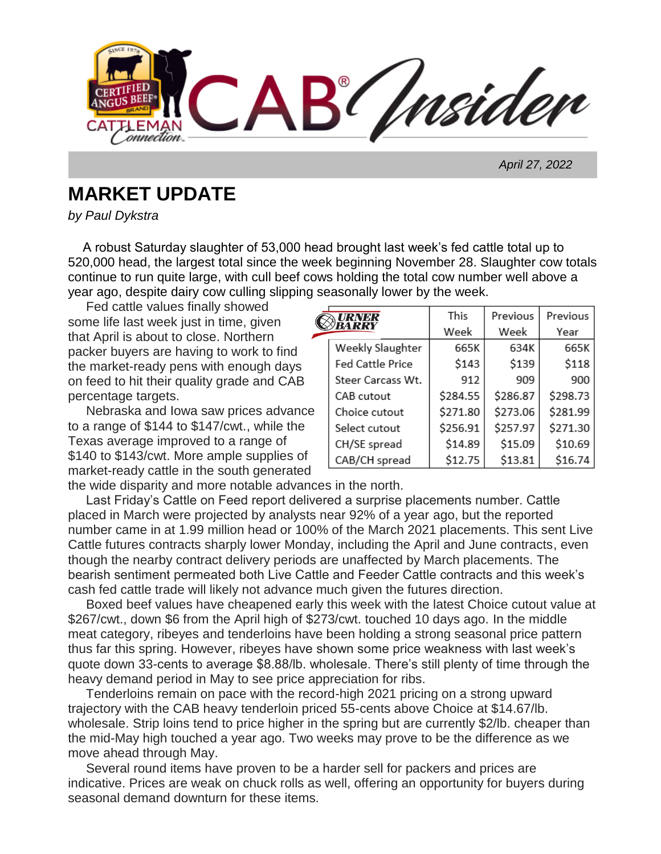AB / Insider

 *April 27, 2022*

## **MARKET UPDATE**

*by Paul Dykstra*

 A robust Saturday slaughter of 53,000 head brought last week's fed cattle total up to 520,000 head, the largest total since the week beginning November 28. Slaughter cow totals continue to run quite large, with cull beef cows holding the total cow number well above a year ago, despite dairy cow culling slipping seasonally lower by the week.

C

 Fed cattle values finally showed some life last week just in time, given that April is about to close. Northern packer buyers are having to work to find the market-ready pens with enough days on feed to hit their quality grade and CAB percentage targets.

 Nebraska and Iowa saw prices advance to a range of \$144 to \$147/cwt., while the Texas average improved to a range of \$140 to \$143/cwt. More ample supplies of market-ready cattle in the south generated

|                   | This     | Previous | Previous |
|-------------------|----------|----------|----------|
|                   | Week     | Week     | Year     |
| Weekly Slaughter  | 665K     | 634K     | 665K     |
| Fed Cattle Price  | \$143    | \$139    | \$118    |
| Steer Carcass Wt. | 912      | 909      | 900      |
| CAB cutout        | \$284.55 | \$286.87 | \$298.73 |
| Choice cutout     | \$271.80 | \$273.06 | \$281.99 |
| Select cutout     | \$256.91 | \$257.97 | \$271.30 |
| CH/SE spread      | \$14.89  | \$15.09  | \$10.69  |
| CAB/CH spread     | \$12.75  | \$13.81  | \$16.74  |

the wide disparity and more notable advances in the north.

 Last Friday's Cattle on Feed report delivered a surprise placements number. Cattle placed in March were projected by analysts near 92% of a year ago, but the reported number came in at 1.99 million head or 100% of the March 2021 placements. This sent Live Cattle futures contracts sharply lower Monday, including the April and June contracts, even though the nearby contract delivery periods are unaffected by March placements. The bearish sentiment permeated both Live Cattle and Feeder Cattle contracts and this week's cash fed cattle trade will likely not advance much given the futures direction.

 Boxed beef values have cheapened early this week with the latest Choice cutout value at \$267/cwt., down \$6 from the April high of \$273/cwt. touched 10 days ago. In the middle meat category, ribeyes and tenderloins have been holding a strong seasonal price pattern thus far this spring. However, ribeyes have shown some price weakness with last week's quote down 33-cents to average \$8.88/lb. wholesale. There's still plenty of time through the heavy demand period in May to see price appreciation for ribs.

 Tenderloins remain on pace with the record-high 2021 pricing on a strong upward trajectory with the CAB heavy tenderloin priced 55-cents above Choice at \$14.67/lb. wholesale. Strip loins tend to price higher in the spring but are currently \$2/lb. cheaper than the mid-May high touched a year ago. Two weeks may prove to be the difference as we move ahead through May.

 Several round items have proven to be a harder sell for packers and prices are indicative. Prices are weak on chuck rolls as well, offering an opportunity for buyers during seasonal demand downturn for these items.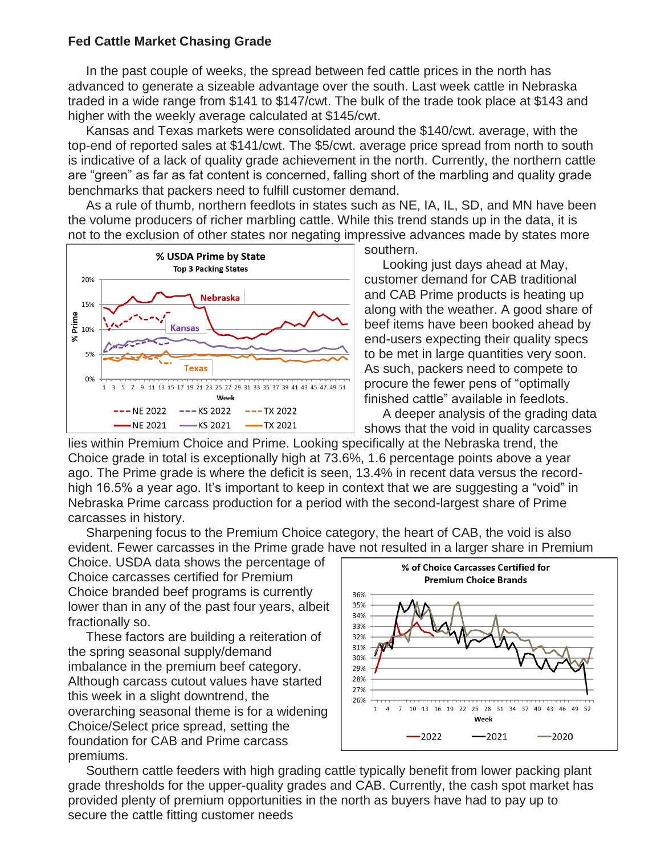## **Fed Cattle Market Chasing Grade**

In the past couple of weeks, the spread between fed cattle prices in the north has advanced to generate a sizeable advantage over the south. Last week cattle in Nebraska traded in a wide range from \$141 to \$147/cwt. The bulk of the trade took place at \$143 and higher with the weekly average calculated at \$145/cwt.

 Kansas and Texas markets were consolidated around the \$140/cwt. average, with the top-end of reported sales at \$141/cwt. The \$5/cwt. average price spread from north to south is indicative of a lack of quality grade achievement in the north. Currently, the northern cattle are "green" as far as fat content is concerned, falling short of the marbling and quality grade benchmarks that packers need to fulfill customer demand.

 As a rule of thumb, northern feedlots in states such as NE, IA, IL, SD, and MN have been the volume producers of richer marbling cattle. While this trend stands up in the data, it is not to the exclusion of other states nor negating impressive advances made by states more



southern.

 Looking just days ahead at May, customer demand for CAB traditional and CAB Prime products is heating up along with the weather. A good share of beef items have been booked ahead by end-users expecting their quality specs to be met in large quantities very soon. As such, packers need to compete to procure the fewer pens of "optimally finished cattle" available in feedlots.

 A deeper analysis of the grading data shows that the void in quality carcasses

lies within Premium Choice and Prime. Looking specifically at the Nebraska trend, the Choice grade in total is exceptionally high at 73.6%, 1.6 percentage points above a year ago. The Prime grade is where the deficit is seen, 13.4% in recent data versus the recordhigh 16.5% a year ago. It's important to keep in context that we are suggesting a "void" in Nebraska Prime carcass production for a period with the second-largest share of Prime carcasses in history.

 Sharpening focus to the Premium Choice category, the heart of CAB, the void is also evident. Fewer carcasses in the Prime grade have not resulted in a larger share in Premium

Choice. USDA data shows the percentage of Choice carcasses certified for Premium Choice branded beef programs is currently lower than in any of the past four years, albeit fractionally so.

 These factors are building a reiteration of the spring seasonal supply/demand imbalance in the premium beef category. Although carcass cutout values have started this week in a slight downtrend, the overarching seasonal theme is for a widening Choice/Select price spread, setting the foundation for CAB and Prime carcass premiums.



 Southern cattle feeders with high grading cattle typically benefit from lower packing plant grade thresholds for the upper-quality grades and CAB. Currently, the cash spot market has provided plenty of premium opportunities in the north as buyers have had to pay up to secure the cattle fitting customer needs